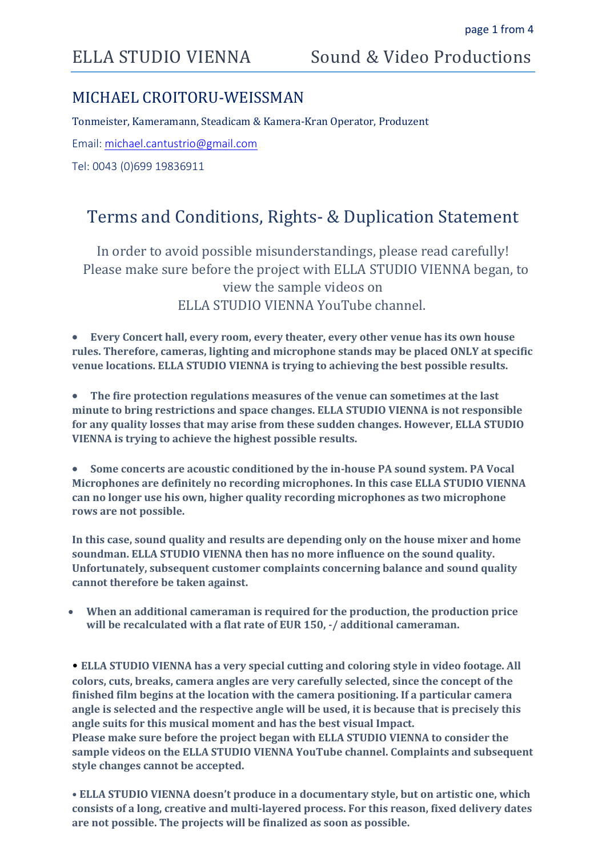## ELLA STUDIO VIENNA Sound & Video Productions

### MICHAEL CROITORU-WEISSMAN

Tonmeister, Kameramann, Steadicam & Kamera-Kran Operator, Produzent

Email: [michael.cantustrio@gmail.com](mailto:michael.cantustrio@gmail.com)

Tel: 0043 (0)699 19836911

## Terms and Conditions, Rights- & Duplication Statement

In order to avoid possible misunderstandings, please read carefully! Please make sure before the project with ELLA STUDIO VIENNA began, to view the sample videos on ELLA STUDIO VIENNA YouTube channel.

 **Every Concert hall, every room, every theater, every other venue has its own house rules. Therefore, cameras, lighting and microphone stands may be placed ONLY at specific venue locations. ELLA STUDIO VIENNA is trying to achieving the best possible results.**

 **The fire protection regulations measures of the venue can sometimes at the last minute to bring restrictions and space changes. ELLA STUDIO VIENNA is not responsible for any quality losses that may arise from these sudden changes. However, ELLA STUDIO VIENNA is trying to achieve the highest possible results.**

 **Some concerts are acoustic conditioned by the in-house PA sound system. PA Vocal Microphones are definitely no recording microphones. In this case ELLA STUDIO VIENNA can no longer use his own, higher quality recording microphones as two microphone rows are not possible.**

**In this case, sound quality and results are depending only on the house mixer and home soundman. ELLA STUDIO VIENNA then has no more influence on the sound quality. Unfortunately, subsequent customer complaints concerning balance and sound quality cannot therefore be taken against.**

 **When an additional cameraman is required for the production, the production price will be recalculated with a flat rate of EUR 150, -/ additional cameraman.**

• **ELLA STUDIO VIENNA has a very special cutting and coloring style in video footage. All colors, cuts, breaks, camera angles are very carefully selected, since the concept of the finished film begins at the location with the camera positioning. If a particular camera angle is selected and the respective angle will be used, it is because that is precisely this angle suits for this musical moment and has the best visual Impact. Please make sure before the project began with ELLA STUDIO VIENNA to consider the sample videos on the ELLA STUDIO VIENNA YouTube channel. Complaints and subsequent style changes cannot be accepted.**

**• ELLA STUDIO VIENNA doesn't produce in a documentary style, but on artistic one, which consists of a long, creative and multi-layered process. For this reason, fixed delivery dates are not possible. The projects will be finalized as soon as possible.**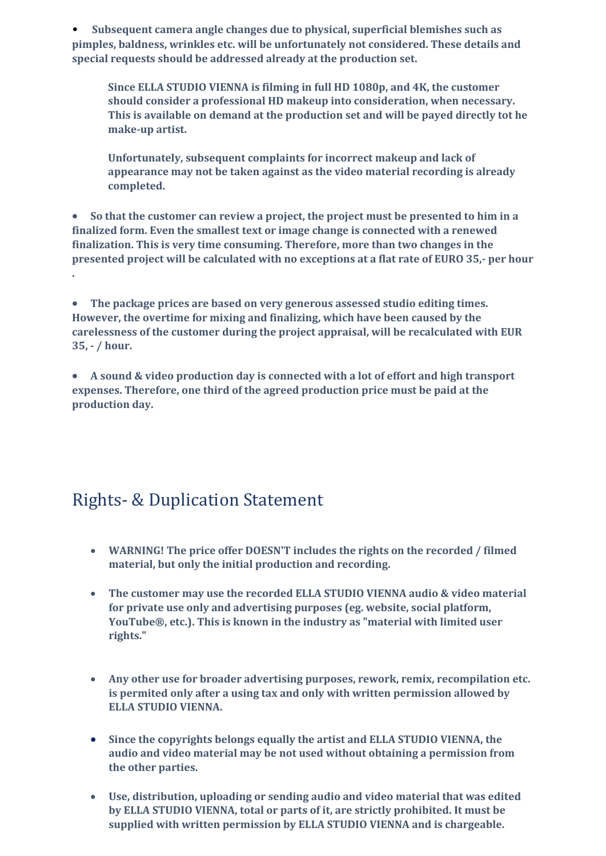• **Subsequent camera angle changes due to physical, superficial blemishes such as pimples, baldness, wrinkles etc. will be unfortunately not considered. These details and special requests should be addressed already at the production set.**

**Since ELLA STUDIO VIENNA is filming in full HD 1080p, and 4K, the customer should consider a professional HD makeup into consideration, when necessary. This is available on demand at the production set and will be payed directly tot he make-up artist.**

**Unfortunately, subsequent complaints for incorrect makeup and lack of appearance may not be taken against as the video material recording is already completed.**

 **So that the customer can review a project, the project must be presented to him in a finalized form. Even the smallest text or image change is connected with a renewed finalization. This is very time consuming. Therefore, more than two changes in the presented project will be calculated with no exceptions at a flat rate of EURO 35,- per hour .**

 **The package prices are based on very generous assessed studio editing times. However, the overtime for mixing and finalizing, which have been caused by the carelessness of the customer during the project appraisal, will be recalculated with EUR 35, - / hour.** 

 **A sound & video production day is connected with a lot of effort and high transport expenses. Therefore, one third of the agreed production price must be paid at the production day.**

# Rights- & Duplication Statement

- **WARNING! The price offer DOESN'T includes the rights on the recorded / filmed material, but only the initial production and recording.**
- **The customer may use the recorded ELLA STUDIO VIENNA audio & video material for private use only and advertising purposes (eg. website, social platform, YouTube®, etc.). This is known in the industry as "material with limited user rights."**
- **Any other use for broader advertising purposes, rework, remix, recompilation etc. is permited only after a using tax and only with written permission allowed by ELLA STUDIO VIENNA.**
- **Since the copyrights belongs equally the artist and ELLA STUDIO VIENNA, the audio and video material may be not used without obtaining a permission from the other parties.**
- **Use, distribution, uploading or sending audio and video material that was edited by ELLA STUDIO VIENNA, total or parts of it, are strictly prohibited. It must be supplied with written permission by ELLA STUDIO VIENNA and is chargeable.**